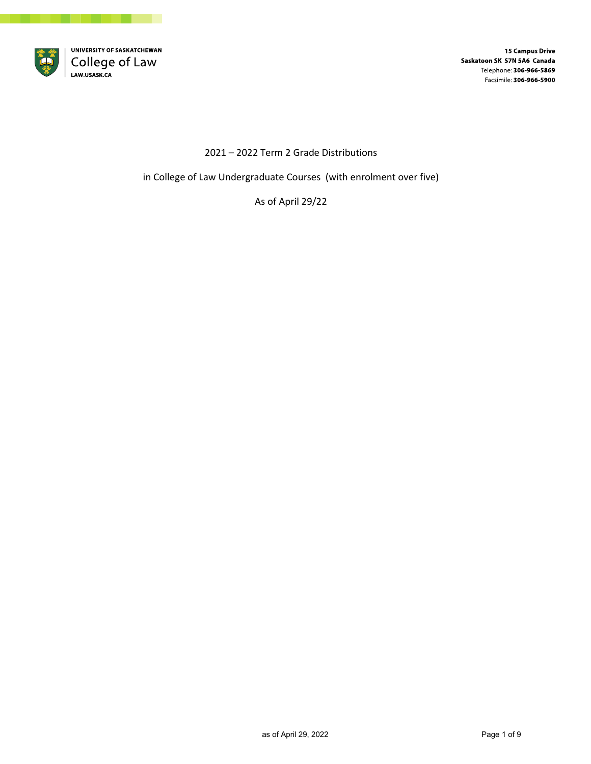

**15 Campus Drive** Saskatoon SK S7N 5A6 Canada Telephone: 306-966-5869 Facsimile: 306-966-5900

## 2021 – 2022 Term 2 Grade Distributions

in College of Law Undergraduate Courses (with enrolment over five)

As of April 29/22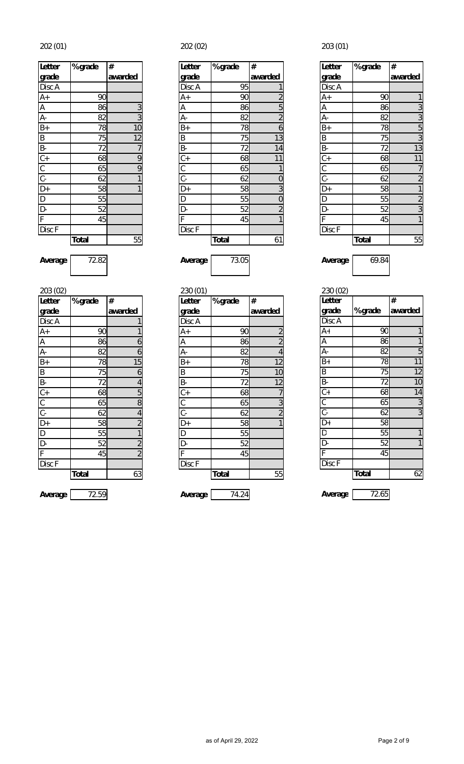| Letter                                                                       | % grade      | #               |
|------------------------------------------------------------------------------|--------------|-----------------|
| grade                                                                        |              | awarded         |
| Disc A                                                                       |              |                 |
| $A+$                                                                         | 90           |                 |
| $\overline{A}$                                                               | 86           |                 |
| Ā-                                                                           | 82           | $rac{3}{3}$     |
| $B+$                                                                         | 78           | $\overline{10}$ |
| $\overline{B}$                                                               | 75           | $\overline{12}$ |
|                                                                              | 72           | $\overline{7}$  |
|                                                                              | 68           | $\overline{9}$  |
| $\left \frac{1}{\Delta}\right \frac{1}{\Delta}\left \frac{1}{\Delta}\right $ | 65           | $\overline{9}$  |
|                                                                              | 62           | $\overline{1}$  |
|                                                                              | 58           | $\overline{1}$  |
|                                                                              | 55           |                 |
| $\frac{D}{D}$                                                                | 52           |                 |
| $\overline{F}$                                                               | 45           |                 |
| Disc F                                                                       |              |                 |
|                                                                              | <b>Total</b> | 55              |

| 203 (02)       |              |                         | 230 (01)  |              |                | 230 (02)  |
|----------------|--------------|-------------------------|-----------|--------------|----------------|-----------|
| Letter         | % grade      | #                       | Letter    | % grade      | #              | Letter    |
| grade          |              | awarded                 | grade     |              | awarded        | grade     |
| Disc A         |              |                         | Disc A    |              |                | Disc A    |
| $A+$           | 90           |                         | $A+$      | 90           | $\overline{2}$ | $A+$      |
| $\overline{A}$ | 86           | 6                       | Α         | 86           | $\overline{2}$ | А         |
| $\overline{A}$ | 82           | 6                       | А-        | 82           | 4              | А-        |
| $\frac{B+}{B}$ | 78           | 15                      | $B+$      | 78           | 12             | $B+$      |
|                | 75           | 6                       | B         | 75           | 10             | B         |
|                | 72           | 4                       | <b>B-</b> | 72           | 12             | <b>B-</b> |
|                | 68           | 5                       | $C +$     | 68           | 7              | $C+$      |
|                | 65           | $\, 8$                  | C         | 65           | 3              | C         |
| $rac{C}{C}$    | 62           | $\overline{4}$          | C-        | 62           | $\overline{2}$ | C-        |
| $D+$           | 58           | $\overline{c}$          | D+        | 58           | 1              | D+        |
| $\overline{D}$ | 55           |                         | D         | 55           |                | D         |
| D-             | 52           | $\overline{\mathbf{c}}$ | D-        | 52           |                | D-        |
| F              | 45           | $\overline{2}$          | F         | 45           |                |           |
| Disc F         |              |                         | Disc F    |              |                | Disc F    |
|                | <b>Total</b> | 63                      |           | <b>Total</b> | 55             |           |
|                |              |                         |           |              |                |           |

202 (01) 202 (02) 203 (01)

| Letter                 | % grade      | #       | Letter               | % grade      | #       | Letter         | % grade      |  |
|------------------------|--------------|---------|----------------------|--------------|---------|----------------|--------------|--|
| grade                  |              | awarded | Igrade               |              | awarded | grade          |              |  |
| Disc A                 |              |         | Disc A               | 95           |         | Disc A         |              |  |
| A+                     | 90           |         | $A+$                 | 90           |         | $A+$           | 90           |  |
| $\overline{A}$         | 86           |         | A                    | 86           | 5       | Α              | 86           |  |
| A-                     | 82           | 3       | А-                   | 82           |         | A-             | 82           |  |
| $\overline{B+}$        | 78           | 10      | $B+$                 | 78           | 6       | $B+$           | 78           |  |
| $\overline{B}$         | 75           | 12      | B                    | 75           | 13      | B              | 75           |  |
| B-                     | 72           |         | <b>B-</b>            | 72           | 14      | B-             | 72           |  |
| $\mathsf{C}\texttt{+}$ | 68           | 9       | $\mathsf{C}\text{+}$ | 68           | 11      | $C +$          | 68           |  |
| C                      | 65           | 9       | С                    | 65           |         | $\sim$<br>U    | 65           |  |
| $\overline{C}$ -       | 62           |         | $\mathsf{C}$ -       | 62           |         | $\overline{C}$ | 62           |  |
|                        | 58           |         | D+                   | 58           |         | $D+$           | 58           |  |
| $\frac{D+}{D}$         | 55           |         | D                    | 55           | 0       | $\mathsf D$    | 55           |  |
| D-                     | 52           |         | D-                   | 52           |         | D-             | 52           |  |
| F                      | 45           |         |                      | 45           |         | F              | 45           |  |
| Disc F                 |              |         | Disc F               |              |         | Disc F         |              |  |
|                        | <b>Total</b> | 55      |                      | <b>Total</b> | 61      |                | <b>Total</b> |  |

| 203 (02)                    |              |         | 230 (01)      |              |         | 230 (02)       |              |                |
|-----------------------------|--------------|---------|---------------|--------------|---------|----------------|--------------|----------------|
| Letter                      | % grade      | #       | <b>Letter</b> | % grade      | #       | <b>Letter</b>  |              | #              |
| grade                       |              | awarded | grade         |              | awarded | grade          | % grade      | awarded        |
| Disc A                      |              |         | Disc A        |              |         | Disc A         |              |                |
| $A+$                        | 90           |         | $A+$          | 90           |         | $A+$           | 90           |                |
| $\overline{A}$              | 86           | 6       | A             | 86           |         | A              | 86           |                |
| $\frac{A}{B+}$              | 82           | 6       | A-            | 82           | 4       | A-             | 82           | 5              |
|                             | 78           | 15      | $B+$          | 78           | 12      | $B+$           | 78           | 11             |
|                             | 75           | 6       | B             | 75           | 10      | B              | 75           | 12             |
| $B -$                       | 72           |         | B-            | 72           | 12      | B-             | 72           | 10             |
| $rac{C}{C}$<br>$rac{C}{D+}$ | 68           | 5       | $C +$         | 68           |         | $C +$          | 68           | 14             |
|                             | 65           | 8       | С             | 65           |         | C              | 65           | 3              |
|                             | 62           |         | $C -$         | 62           |         | $\overline{C}$ | 62           | $\overline{3}$ |
|                             | 58           |         | D+            | 58           |         | D+             | 58           |                |
| $\overline{\mathsf{D}}$     | 55           |         | D             | 55           |         | D              | 55           | 1              |
| $\overline{D}$              | 52           |         | D-            | 52           |         | D-             | 52           | 1              |
| F                           | 45           |         | F             | 45           |         |                | 45           |                |
| Disc F                      |              |         | Disc F        |              |         | Disc F         |              |                |
|                             | <b>Total</b> | 63      |               | <b>Total</b> | 55      |                | <b>Total</b> | 62             |
| Average                     | 72.59        |         | Average       | 74.24        |         | Average        | 72.65        |                |
|                             |              |         |               |              |         |                |              |                |

| <b>Letter</b>                                                                                                                 | % grade      | #              |
|-------------------------------------------------------------------------------------------------------------------------------|--------------|----------------|
| grade                                                                                                                         |              | awarded        |
| Disc A                                                                                                                        |              |                |
|                                                                                                                               | 90           | 1              |
| A+<br>A<br>A-                                                                                                                 | 86           | $\frac{3}{3}$  |
|                                                                                                                               | 82           |                |
| $\overline{B+}$                                                                                                               | 78           | $\overline{5}$ |
| $\overline{B}$                                                                                                                | 75           | $\overline{3}$ |
|                                                                                                                               | 72           | 13             |
|                                                                                                                               | 68           | 11             |
|                                                                                                                               | 65           |                |
|                                                                                                                               | 62           | $\frac{7}{2}$  |
|                                                                                                                               | 58           | $\overline{1}$ |
|                                                                                                                               | 55           | $\frac{2}{3}$  |
| $\frac{B}{C}$ $\frac{C}{D}$ $\frac{D}{D}$ $\frac{D}{D}$ $\frac{D}{D}$ $\frac{D}{D}$ $\frac{D}{D}$ $\frac{D}{D}$ $\frac{D}{D}$ | 52           |                |
|                                                                                                                               | 45           | $\overline{1}$ |
| Disc F                                                                                                                        |              |                |
|                                                                                                                               | <b>Total</b> | 55             |

**Average** 72.82 **Average** 73.05 **Average** 69.84

| 230 (02)        |              |                |
|-----------------|--------------|----------------|
| <b>Letter</b>   |              | #              |
| grade           | % grade      | awarded        |
| Disc A          |              |                |
| $A+$            | 90           | 1              |
| A               | 86           | 1              |
| $\overline{A}$  | 82           | 5              |
| $\overline{B+}$ | 78           | 11             |
| B               | 75           | 12             |
| $B -$           | 72           | 10             |
| $\overline{C}$  | 68           | 14             |
| $rac{C}{C}$     | 65           | $\overline{3}$ |
|                 | 62           | $\overline{3}$ |
| $\overline{D+}$ | 58           |                |
| D               | 55           | 1              |
| $\overline{D}$  | 52           |                |
| F               | 45           |                |
| Disc F          |              |                |
|                 | <b>Total</b> | 62             |
|                 |              |                |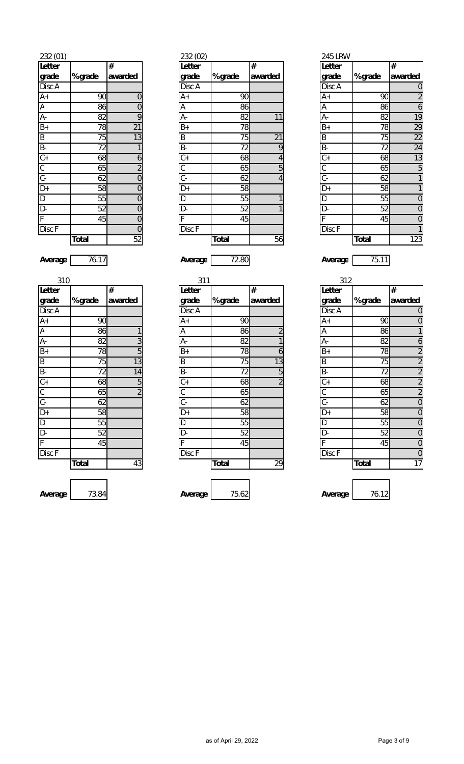| Letter                                                                                        |                 | #              |
|-----------------------------------------------------------------------------------------------|-----------------|----------------|
| grade                                                                                         | % grade         | awarded        |
| Disc A                                                                                        |                 |                |
| $\overline{A+}$                                                                               | 90              | $\mathbf{0}$   |
| A<br>A-                                                                                       | 86              | $\overline{0}$ |
|                                                                                               | 82              | $\overline{9}$ |
| $B+$                                                                                          | 78              | 21             |
| $\overline{B}$                                                                                | 75              | 13             |
|                                                                                               | 72              | 1              |
|                                                                                               | 68              | 6              |
|                                                                                               | 65              | $\overline{2}$ |
|                                                                                               | $\overline{62}$ | $\overline{0}$ |
|                                                                                               | 58              | $\mathbf{0}$   |
|                                                                                               | 55              | $\mathbf{0}$   |
| $\frac{1}{\frac{1}{\sqrt{1}}}\frac{\frac{1}{\sqrt{1}}}{\frac{1}{\sqrt{1}}\frac{1}{\sqrt{1}}}$ | 52              | $\overline{0}$ |
|                                                                                               | 45              | $\overline{0}$ |
| Disc <sub>F</sub>                                                                             |                 | $\overline{0}$ |
|                                                                                               | <b>Total</b>    | 52             |

| 232 (01)                     |              |                | 232 (02)  |              |         | 245 LRW       |              |                |
|------------------------------|--------------|----------------|-----------|--------------|---------|---------------|--------------|----------------|
| Letter                       |              | #              | Letter    |              | #       | <b>Letter</b> |              | $\#$           |
| grade                        | % grade      | awarded        | grade     | % grade      | awarded | grade         | % grade      | awarded        |
| Disc A                       |              |                | Disc A    |              |         | Disc A        |              | $\mathbf 0$    |
| A+                           | 90           | $\Omega$       | $A+$      | 90           |         | $A+$          | 90           | $\overline{a}$ |
| A                            | 86           | 0              | Α         | 86           |         | A             | 86           | 6              |
| A-                           | 82           | 9              | А-        | 82           | 11      | A-            | 82           | 19             |
| B+                           | 78           | 21             | $B+$      | 78           |         | $B+$          | 78           | 29             |
| B<br>B-                      | 75           | 13             | B         | 75           | 21      | B             | 75           | 22             |
|                              | 72           |                | <b>B-</b> | 72           | 9       | B-            | 72           | 24             |
| $\overline{C}+$              | 68           | 6              | $C +$     | 68           |         | $C +$         | 68           | 13             |
| $\overline{\mathsf{C}}$      | 65           |                | С         | 65           | 5       | ⌒<br>U        | 65           | 5              |
| $\overline{C}$ -             | 62           |                | $C -$     | 62           |         | $C -$         | 62           |                |
| D+                           | 58           |                | D+        | 58           |         | D+            | 58           |                |
| D                            | 55           |                | D         | 55           |         | D             | 55           | 0              |
| D-                           | 52           | 0              | D-        | 52           |         | D-            | 52           | 0              |
| F                            | 45           | 0              |           | 45           |         |               | 45           | 0              |
| $\overline{\mathrm{Disc}}$ F |              | $\overline{0}$ | Disc F    |              |         | Disc F        |              |                |
|                              | <b>Total</b> | 52             |           | <b>Total</b> | 56      |               | <b>Total</b> | 123            |
|                              |              |                |           |              |         |               |              |                |

**Letter grade % grade # awarded**

| 310                                 |              |         | 311            |              |         | 312             |              |                |
|-------------------------------------|--------------|---------|----------------|--------------|---------|-----------------|--------------|----------------|
| Letter                              |              | #       | Letter         |              | #       | <b>Letter</b>   |              | $\#$           |
| grade                               | % grade      | awarded | grade          | % grade      | awarded | grade           | % grade      | awarded        |
| Disc A                              |              |         | Disc A         |              |         | Disc A          |              | $\mathbf 0$    |
| A+                                  | 90           |         | $A+$           | 90           |         | $A+$            | 90           | $\overline{0}$ |
| Ā                                   | 86           |         | A              | 86           |         | A               | 86           | 1              |
| A-                                  | 82           | 3       | А-             | 82           |         | $A -$           | 82           | 6              |
| $rac{B+}{B}$<br>$rac{B-}{C+}$       | 78           | 5       | $B+$           | 78           | 6       | $B+$            | 78           | $\overline{2}$ |
|                                     | 75           | 13      | $\sf B$        | 75           | 13      | B               | 75           | $\overline{2}$ |
|                                     | 72           | 14      | $B -$          | 72           | 5       | B-              | 72           | $\overline{a}$ |
|                                     | 68           | 5       | $C +$          | 68           |         | $C +$           | 68           | $\overline{a}$ |
| $\frac{\overline{C}}{\overline{C}}$ | 65           | 2       | С              | 65           |         | $\mathsf C$     | 65           | $\overline{2}$ |
|                                     | 62           |         | $\overline{C}$ | 62           |         | $\overline{C}$  | 62           | $\overline{0}$ |
| D+                                  | 58           |         | $D+$           | 58           |         | $\overline{D+}$ | 58           | $\overline{0}$ |
| D<br>D-                             | 55           |         | D              | 55           |         | $\mathsf D$     | 55           | $\mathbf 0$    |
|                                     | 52           |         | D-             | 52           |         | D-              | 52           | $\mathbf 0$    |
| $\overline{\mathsf{F}}$             | 45           |         |                | 45           |         | F               | 45           | $\mathbf 0$    |
| Disc F                              |              |         | Disc F         |              |         | Disc F          |              | $\overline{0}$ |
|                                     | <b>Total</b> | 43      |                | <b>Total</b> | 29      |                 | <b>Total</b> | 17             |
|                                     |              |         |                |              |         |                 |              |                |
|                                     |              |         |                |              |         |                 |              |                |

| 312                                                                                |         |                                     |
|------------------------------------------------------------------------------------|---------|-------------------------------------|
| Letter                                                                             |         | #                                   |
| grade                                                                              | % grade | awarded                             |
| Disc A                                                                             |         | $\overline{0}$                      |
| $A+$                                                                               | 90      | $\overline{0}$                      |
| $\overline{\mathsf{A}}$                                                            | 86      | $\overline{1}$                      |
| A-                                                                                 | 82      |                                     |
| $B+$                                                                               | 78      | $rac{6}{2}$ $rac{2}{2}$ $rac{2}{2}$ |
| $\begin{array}{c c}\n\hline\nB & B \\ \hline\nC + C \\ \hline\nC - C\n\end{array}$ | 75      |                                     |
|                                                                                    | 72      |                                     |
|                                                                                    | 68      |                                     |
|                                                                                    | 65      |                                     |
|                                                                                    | 62      | $\mathbf 0$                         |
| $\overline{D+}$                                                                    | 58      | $\mathbf 0$                         |
| $\overline{D}$                                                                     | 55      | $\mathbf 0$                         |
| D-                                                                                 | 52      | $\mathbf 0$                         |
| F                                                                                  | 45      | $\mathbf 0$                         |
| Disc <sub>F</sub>                                                                  |         | $\overline{0}$                      |
|                                                                                    | Total   | 17                                  |

**Average** 73.84 **Average** 75.62 **Average** 76.12

**Average** 76.17 **Average** 72.80 **Average** 75.11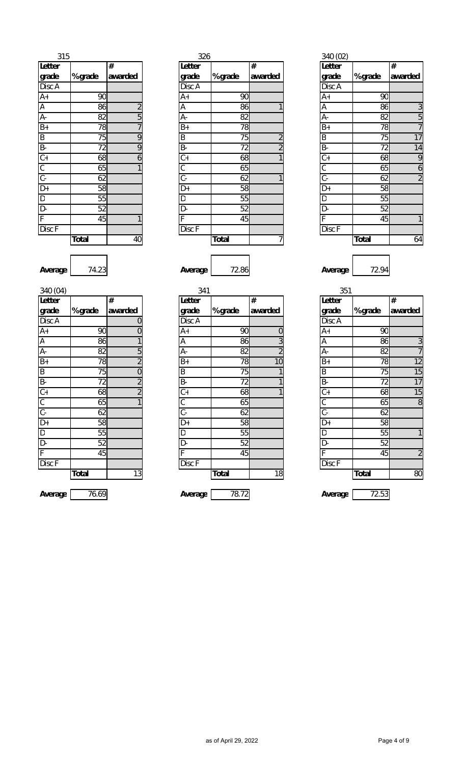| 315              |                 |                             |
|------------------|-----------------|-----------------------------|
| Letter           |                 | #                           |
| grade            | % grade         | awarded                     |
| Disc A           |                 |                             |
|                  | 90              |                             |
| $\frac{A+}{A}$   | 86              |                             |
|                  | 82              | $\frac{2}{5}$ $\frac{7}{9}$ |
| $B+$             | 78              |                             |
|                  | 75              |                             |
|                  | 72              | $\overline{9}$              |
| <u>히 이 행 해 이</u> | $6\overline{8}$ | $\overline{6}$              |
|                  | 65              | 1                           |
|                  | 62              |                             |
|                  | 58              |                             |
| $\overline{D}$   | 55              |                             |
| $\overline{D}$   | 52              |                             |
| F                | 45              | 1                           |
| Disc F           |                 |                             |
|                  | <b>Total</b>    | 40                          |

| 315                       |              |         | 326            |              |         | 340 (02)      |              |                |
|---------------------------|--------------|---------|----------------|--------------|---------|---------------|--------------|----------------|
| Letter                    |              | #       | Letter         |              | #       | <b>Letter</b> |              | #              |
| grade                     | % grade      | awarded | grade          | % grade      | awarded | grade         | % grade      | awarded        |
| Disc A                    |              |         | Disc A         |              |         | Disc A        |              |                |
| A+                        | 90           |         | A+             | 90           |         | $A+$          | 90           |                |
| $\overline{A}$            | 86           |         | Α              | 86           |         | Α             | 86           | 3              |
| $A -$                     | 82           | 5       | А-             | 82           |         | A-            | 82           | 5              |
| $\overline{B+}$           | 78           |         | $B+$           | 78           |         | $B+$          | 78           | $\overline{7}$ |
|                           | 75           | 9       | B              | 75           |         | B             | 75           | 17             |
| $\frac{B}{B}$             | 72           | 9       | <b>B-</b>      | 72           |         | B-            | 72           | 14             |
| $\overline{\mathsf{C+}}$  | 68           | 6       | $\mathbb{C}^+$ | 68           |         | $C +$         | 68           | 9              |
| $\overline{\mathsf{C}}$   | 65           |         | С              | 65           |         | С             | 65           | 6              |
| $\overline{C}$ -          | 62           |         | $C -$          | 62           |         | $C -$         | 62           | $\overline{a}$ |
| $\overline{\mathsf{D}^+}$ | 58           |         | D+             | 58           |         | D+            | 58           |                |
|                           | 55           |         | D              | 55           |         | $\mathsf D$   | 55           |                |
| D<br>D-                   | 52           |         | D-             | 52           |         | D-            | 52           |                |
|                           | 45           |         |                | 45           |         |               | 45           |                |
| Disc F                    |              |         | Disc F         |              |         | Disc F        |              |                |
|                           | <b>Total</b> | 40      |                | <b>Total</b> |         |               | <b>Total</b> | 64             |

**Letter grade % grade # awarded Total** 40 **Total** 7 **Total** 64

**Average** 74.23 **Average** 72.86 **Average** 72.94

| 351                     |              |                 |
|-------------------------|--------------|-----------------|
| Letter                  |              | #               |
| grade                   | % grade      | awarded         |
| Disc A                  |              |                 |
| $\overline{A+}$         | 90           |                 |
| $\overline{A}$          | 86           |                 |
| $\overline{A}$          | 82           | $\frac{3}{7}$   |
| $\overline{B+}$         | 78           | $\overline{12}$ |
| $\overline{B}$          | 75           | 15              |
|                         | 72           | $\overline{17}$ |
|                         | 68           | 15              |
|                         | 65           | 8               |
|                         | 62           |                 |
| 이신이스                    | 58           |                 |
|                         | 55           |                 |
| $\overline{D}$          | 52           |                 |
| $\overline{\mathsf{F}}$ | 45           | $\overline{2}$  |
| Disc F                  |              |                 |
|                         | <b>Total</b> | 80              |
| Λ.,                     | וכם בד       |                 |

| 340 $(04)$ |  |
|------------|--|

| Letter                                            |                 | #              |
|---------------------------------------------------|-----------------|----------------|
| grade                                             | % grade         | awarded        |
| Disc A                                            |                 | $\mathbf{0}$   |
| $A+$                                              | 90              | $\overline{0}$ |
| A                                                 | 86              | $\overline{1}$ |
| A-                                                | 82              | $\frac{5}{2}$  |
| $\overline{B+}$                                   | 78              |                |
| $\overline{B}$                                    | 75              | $\frac{0}{2}$  |
| $\frac{B}{C+}$<br>$\frac{C}{C}$<br>$\frac{C}{D+}$ | 72              |                |
|                                                   | 68              |                |
|                                                   | 65              | $\overline{1}$ |
|                                                   | $\overline{62}$ |                |
|                                                   | 58              |                |
| $\overline{D}$                                    | 55              |                |
| D-                                                | 52              |                |
| F                                                 | 45              |                |
| Disc F                                            |                 |                |
|                                                   | Total           | 13             |

| 340 (04)       |              |                          | 341             |              |                | 351              |              |                |
|----------------|--------------|--------------------------|-----------------|--------------|----------------|------------------|--------------|----------------|
| Letter         |              | $\#$                     | Letter          |              | #              | <b>Letter</b>    |              | #              |
| grade          | % grade      | awarded                  | grade           | % grade      | awarded        | grade            | % grade      | awarded        |
| Disc A         |              | 0                        | Disc A          |              |                | Disc A           |              |                |
|                | 90           | 0                        | $A+$            | 90           | 0              | $A+$             | 90           |                |
| $\frac{A+}{A}$ | 86           |                          | $\overline{A}$  | 86           | 3              | Α                | 86           | 3              |
| $A -$          | 82           | 5                        | A-              | 82           | $\overline{2}$ | А-               | 82           | $\overline{1}$ |
| $B+$           | 78           | $\overline{2}$           | $B+$            | 78           | 10             | $B+$             | 78           | 12             |
| $\overline{B}$ | 75           | 0                        | B               | 75           |                | B                | 75           | 15             |
| $B -$          | 72           | $\overline{2}$           | B-              | 72           |                | $B -$            | 72           | 17             |
| $C+$           | 68           | $\overline{\phantom{a}}$ | $\overline{C+}$ | 68           |                | $\overline{C+}$  | 68           | 15             |
| $\frac{C}{C}$  | 65           |                          | С               | 65           |                | С                | 65           | 8              |
|                | 62           |                          | $\overline{C}$  | 62           |                | $\overline{C}$ - | 62           |                |
| $D+$           | 58           |                          | $D+$            | 58           |                | D+               | 58           |                |
| $\overline{D}$ | 55           |                          | D               | 55           |                | D                | 55           |                |
| D-             | 52           |                          | D-              | 52           |                | D-               | 52           |                |
| F              | 45           |                          | F               | 45           |                | Е                | 45           | $\overline{2}$ |
| Disc F         |              |                          | Disc F          |              |                | Disc F           |              |                |
|                | <b>Total</b> | 13                       |                 | <b>Total</b> | 18             |                  | <b>Total</b> | 80             |
| Average        | 76.69        |                          | Average         | 78.72        |                | Average          | 72.53        |                |

as of April 29, 2022 **Page 4 of 9**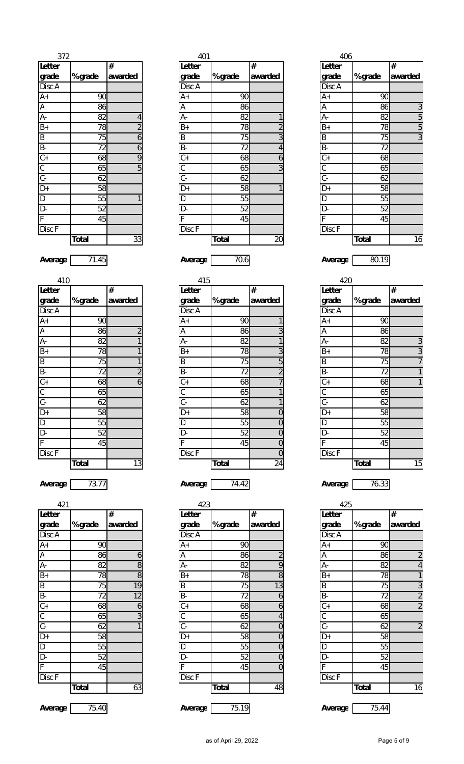| 372                                                                                                                                             |              |                          |
|-------------------------------------------------------------------------------------------------------------------------------------------------|--------------|--------------------------|
| Letter                                                                                                                                          |              | #                        |
| grade                                                                                                                                           | % grade      | awarded                  |
| Disc A                                                                                                                                          |              |                          |
| $A+$                                                                                                                                            | 90           |                          |
| Ā                                                                                                                                               | 86           |                          |
| A-                                                                                                                                              | 82           | $\overline{\mathcal{A}}$ |
| $B+$                                                                                                                                            | 78           | $\overline{2}$           |
| $\overline{B}$                                                                                                                                  | 75           | $\overline{6}$           |
|                                                                                                                                                 | 72           | $\frac{6}{9}$            |
|                                                                                                                                                 | 68           |                          |
|                                                                                                                                                 | 65           | $\overline{5}$           |
|                                                                                                                                                 | 62           |                          |
|                                                                                                                                                 | 58           |                          |
| $\begin{array}{c c c c c c c} \hline \text{P} & \text{C} & \text{C} & \text{P} \\ \hline \text{P} & \text{C} & \text{P} & \text{P} \end{array}$ | 55           | 1                        |
| $\overline{D}$                                                                                                                                  | 52           |                          |
| $\bar{\mathsf{F}}$                                                                                                                              | 45           |                          |
| <b>Disc</b> F                                                                                                                                   |              |                          |
|                                                                                                                                                 | <b>Total</b> | 33                       |

|              |                |                 | 401          |                | 406              |              |                |
|--------------|----------------|-----------------|--------------|----------------|------------------|--------------|----------------|
|              | $\#$           | <b>Letter</b>   |              | $\#$           | Letter           |              | #              |
| % grade      | awarded        | grade           | % grade      | awarded        | grade            | % grade      | awarded        |
|              |                | Disc A          |              |                | Disc A           |              |                |
| 90           |                | $A+$            | 90           |                | $A+$             | 90           |                |
| 86           |                | Α               | 86           |                | А                | 86           | $\mathfrak{Z}$ |
| 82           | 4              | А-              | 82           |                | А-               | 82           | 5              |
| 78           | $\overline{2}$ | $B+$            | 78           | $\overline{2}$ | $B+$             | 78           | 5              |
| 75           | 6              | B               | 75           | 3              | B                | 75           | 3              |
| 72           | 6              | $\overline{B}$  | 72           | 4              | $\overline{B}$   | 72           |                |
| 68           | 9              | $\overline{C+}$ | 68           | 6              | $\overline{C+}$  | 68           |                |
| 65           | 5              | C               | 65           | 3              | $\overline{C}$   | 65           |                |
| 62           |                | $\overline{C}$  | 62           |                | $\overline{C}$ - | 62           |                |
| 58           |                | D+              | 58           |                | D+               | 58           |                |
| 55           |                | D               | 55           |                | D                | 55           |                |
| 52           |                | D-              | 52           |                | D-               | 52           |                |
| 45           |                |                 | 45           |                | Ė                | 45           |                |
|              |                | Disc F          |              |                | Disc F           |              |                |
| <b>Total</b> | 33             |                 | <b>Total</b> | 20             |                  | <b>Total</b> | 16             |
|              |                |                 |              |                |                  |              |                |

**Average** 71.45 **Average** 70.6 **Average** 80.19

|              |                |                 | 415          |                | 420             |              |         |
|--------------|----------------|-----------------|--------------|----------------|-----------------|--------------|---------|
|              | #              | Letter          |              | #              | Letter          |              | #       |
| % grade      | awarded        | grade           | % grade      | awarded        | grade           | % grade      | awarded |
|              |                | Disc A          |              |                | Disc A          |              |         |
| 90           |                | $A+$            | 90           |                | $A+$            | 90           |         |
| 86           | $\overline{2}$ | A               | 86           | 3              | A               | 86           |         |
| 82           |                | А-              | 82           |                | А-              | 82           | 3       |
| 78           |                | $\overline{B+}$ | 78           | 3              | $\overline{B+}$ | 78           | 3       |
| 75           |                | B               | 75           | 5              | B               | 75           | 7       |
| 72           | $\overline{2}$ | B-              | 72           | $\overline{2}$ | B-              | 72           |         |
| 68           | 6              | $C +$           | 68           | 7              | $C +$           | 68           |         |
| 65           |                | C               | 65           |                | C               | 65           |         |
| 62           |                | C-              | 62           |                | $\overline{C}$  | 62           |         |
| 58           |                | D+              | 58           | 0              | D+              | 58           |         |
| 55           |                | D               | 55           | $\overline{0}$ | D               | 55           |         |
| 52           |                | D-              | 52           | 0              | D-              | 52           |         |
| 45           |                | F               | 45           | $\overline{0}$ | F               | 45           |         |
|              |                | Disc F          |              | $\overline{0}$ | Disc F          |              |         |
| <b>Total</b> | 13             |                 | <b>Total</b> | 24             |                 | <b>Total</b> | 15      |
|              |                |                 |              |                |                 |              |         |

| 425                                                                                                                               |                 |                          |
|-----------------------------------------------------------------------------------------------------------------------------------|-----------------|--------------------------|
| Letter                                                                                                                            |                 | #                        |
| grade                                                                                                                             | % grade         | awarded                  |
| Disc A                                                                                                                            |                 |                          |
| $\overline{A+}$                                                                                                                   | 90              |                          |
| A                                                                                                                                 | 86              | $\overline{c}$           |
| A-                                                                                                                                | 82              | $\overline{\mathcal{A}}$ |
| $rac{B+}{B}$                                                                                                                      | 78              | $\overline{\mathbf{1}}$  |
|                                                                                                                                   | 75              |                          |
|                                                                                                                                   | $\overline{72}$ | $\frac{3}{2}$            |
|                                                                                                                                   | 68              |                          |
|                                                                                                                                   | 65              |                          |
|                                                                                                                                   | 62              | $\overline{2}$           |
|                                                                                                                                   | 58              |                          |
| $\frac{\overline{B}}{C+}$ $\frac{\overline{C}}{C+}$ $\frac{\overline{C}}{D+}$ $\frac{\overline{D}}{D-}$ $\frac{\overline{D}}{F+}$ | $\overline{55}$ |                          |
|                                                                                                                                   | 52              |                          |
|                                                                                                                                   | 45              |                          |
| Disc F                                                                                                                            |                 |                          |
|                                                                                                                                   | <b>Total</b>    | 16                       |
|                                                                                                                                   |                 |                          |
|                                                                                                                                   |                 |                          |

**Average** 75.40 **Average** 75.19 **Average** 75.44

Disc A  $\begin{array}{|c|c|c|c|c|c|}\hline \text{Disc A} & \text{Disc A} & \text{Disc A} \ \hline \end{array}$ A+ 90 A+ 90 A+ 90 A | 86 | |A | 86 | | |A | 86 | 3 A- | 82 | 4 | A- | 82 | 1 | A- | 82 | 5 B+ 78 2 B+ 78 2 B+ 78 5 B 75 6 B 75 3 B 75 3 B- 72 6 B- 72 4 B- 72 C+ | 68| 9| |C+ | 68| 6| |C+ | 68 C | 65 | 5 | C | 65 | 3 | C | 65 C- 62 C- 62 C- 62 D+ 58 D+ 58 1 D+ 58 D | 55 | 1 |D | 55 | | |D | 55 D- | 52 | D- | 52 | D- | 52 F 45 F 45 F 45 Disc F | Disc F | Disc F | Disc F | Disc F | Disc F

| 410                     |              |         | 415            |              |         | 420            |              |         |
|-------------------------|--------------|---------|----------------|--------------|---------|----------------|--------------|---------|
| Letter                  |              | #       | Letter         |              | $\#$    | Letter         |              | #       |
| grade                   | % grade      | awarded | grade          | % grade      | awarded | grade          | % grade      | awarded |
| Disc A                  |              |         | Disc A         |              |         | Disc A         |              |         |
| $A+$                    | 90           |         | $A+$           | 90           |         | A+             | 90           |         |
| $\overline{\mathsf{A}}$ | 86           |         | A              | 86           |         | Α              | 86           |         |
| $A-$                    | 82           |         | A-             | 82           |         | А-             | 82           | 3       |
| $B+$                    | 78           |         | $B+$           | 78           | 3       | $B+$           | 78           | 3       |
| $\overline{B}$          | 75           |         | B              | 75           | 5       | B              | 75           | 7       |
| $B -$                   | 72           |         | B-             | 72           |         | <b>B-</b>      | 72           |         |
| $rac{C}{C}$             | 68           | 6       | $C+$           | 68           |         | $C +$          | 68           |         |
|                         | 65           |         | С              | 65           |         | C              | 65           |         |
| $\overline{C}$          | 62           |         | $\overline{C}$ | 62           |         | $\overline{C}$ | 62           |         |
| $D+$                    | 58           |         | $D+$           | 58           | 0       | D+             | 58           |         |
| $\overline{\mathsf{D}}$ | 55           |         | D              | 55           | 0       | D              | 55           |         |
| D-                      | 52           |         | D-             | 52           | 0       | D-             | 52           |         |
| F                       | 45           |         | F              | 45           | 0       | E              | 45           |         |
| Disc F                  |              |         | Disc F         |              | 0       | Disc F         |              |         |
|                         | <b>Total</b> | 13      |                | <b>Total</b> | 24      |                | <b>Total</b> | 15      |

| 421             |              |                |
|-----------------|--------------|----------------|
| Letter          |              | #              |
| grade           | % grade      | awarded        |
| Disc A          |              |                |
| $A+$            | 90           |                |
| Ā               | 86           | 6              |
| Ā-              | 82           | 8              |
| $B+$            | 78           | 8              |
| $\overline{B}$  | 75           | 19             |
| $B -$           | 72           | 12             |
|                 | 68           | 6              |
| $C +$<br>$C -$  | 65           | 3              |
|                 | 62           | $\overline{1}$ |
| $\overline{D+}$ | 58           |                |
| $\overline{D}$  | 55           |                |
| $\overline{D}$  | 52           |                |
| F               | 45           |                |
| Disc F          |              |                |
|                 | <b>Total</b> | 63             |

| Letter                     |         | #                       |
|----------------------------|---------|-------------------------|
| grade                      | % grade | awarded                 |
| Disc A                     |         |                         |
| $A+$                       | 90      | 1                       |
| $\overline{A}$             | 86      | $\overline{3}$          |
| Ā-                         | 82      | $\overline{\mathbf{1}}$ |
| $B+$                       | 78      | $\overline{3}$          |
| B                          | 75      | 5                       |
|                            | 72      | $\overline{c}$          |
| $rac{B}{C}$<br>$rac{C}{C}$ | 68      | 7                       |
|                            | 65      | 1                       |
|                            | 62      | 1                       |
| $\overline{D+}$            | 58      | $\mathbf{0}$            |
| $\overline{D}$             | 55      | $\overline{0}$          |
| D-                         | 52      | $\overline{0}$          |
| F                          | 45      | $\mathbf{0}$            |
| Disc F                     |         | $\mathbf{0}$            |
|                            | Total   | 24                      |

**Average** 73.77 **Average** 74.42 **Average** 76.33

| 421                                 |              |         | 423                  |              |         | 425            |              |                |
|-------------------------------------|--------------|---------|----------------------|--------------|---------|----------------|--------------|----------------|
| Letter                              |              | #       | Letter               |              | #       | Letter         |              | $\#$           |
| grade                               | % grade      | awarded | grade                | % grade      | awarded | grade          | % grade      | awarded        |
| Disc A                              |              |         | Disc A               |              |         | Disc A         |              |                |
| A+                                  | 90           |         | $A+$                 | 90           |         | $A+$           | 90           |                |
| A                                   | 86           | 6       | A                    | 86           |         | A              | 86           | $\overline{2}$ |
| A-                                  | 82           | 8       | А-                   | 82           | 9       | A-             | 82           | $\overline{4}$ |
| $B+$                                | 78           | 8       | $B+$                 | 78           | 8       | $B+$           | 78           | 1              |
|                                     | 75           | 19      | B                    | 75           | 13      | B              | 75           | $\overline{3}$ |
| $rac{B}{B}$ .                       | 72           | 12      | $B -$                | 72           | 6       | B-             | 72           | $\overline{a}$ |
|                                     | 68           | 6       | $\mathsf{C}\text{+}$ | 68           | 6       | $C +$          | 68           | $\overline{a}$ |
| $\overline{\mathsf{C}}$             | 65           | 3       | С                    | 65           | 4       | $\mathsf C$    | 65           |                |
| $\overline{C}$ -                    | 62           |         | $C -$                | 62           | 0       | $\mathsf{C}$ - | 62           | $\overline{a}$ |
| D+                                  | 58           |         | D+                   | 58           | 0       | D+             | 58           |                |
| $\frac{\overline{D}}{\overline{D}}$ | 55           |         | D                    | 55           | 0       | $\mathsf D$    | 55           |                |
|                                     | 52           |         | D-                   | 52           | 0       | D-             | 52           |                |
| F                                   | 45           |         |                      | 45           | 0       |                | 45           |                |
| Disc F                              |              |         | Disc F               |              |         | Disc F         |              |                |
|                                     | <b>Total</b> | 63      |                      | <b>Total</b> | 48      |                | <b>Total</b> | 16             |
|                                     |              |         |                      |              |         |                |              |                |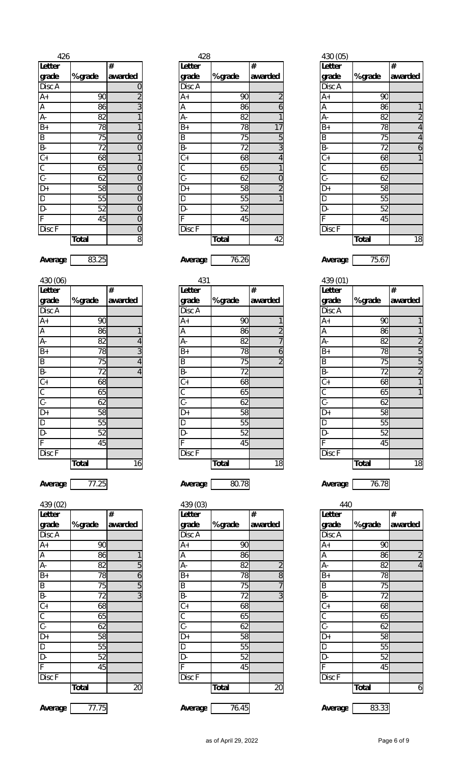| 426                    |                 |                       |
|------------------------|-----------------|-----------------------|
| Letter                 |                 | #                     |
| grade                  | % grade         | awarded               |
| Disc A                 |                 | $\boldsymbol{0}$      |
| $\overline{A+}$        | 90              | $\frac{2}{3}$         |
| $\frac{A}{A}$          | $\overline{86}$ |                       |
|                        | 82              | $\overline{1}$        |
|                        | 78              | $\overline{1}$        |
|                        | $\overline{75}$ |                       |
|                        | 72              | $\frac{0}{0}$         |
|                        | $\overline{68}$ | $\overline{1}$        |
|                        | 65              |                       |
|                        | 62              | $\frac{1}{\sqrt{10}}$ |
|                        | 58              |                       |
|                        | $\overline{55}$ |                       |
| 판  B  모  모  모  모  모  모 | 52              | $\overline{0}$        |
|                        | 45              | $\overline{0}$        |
| Disc F                 |                 | $\overline{0}$        |
|                        | <b>Total</b>    | $\overline{8}$        |

| וטטן טטד        |              |                         |
|-----------------|--------------|-------------------------|
| Letter          |              | #                       |
| grade           | % grade      | awarded                 |
| Disc A          |              |                         |
| A+              | 90           |                         |
| A               | 86           | 1                       |
| А-              | 82           | 4                       |
| $B+$            | 78           | $\overline{3}$          |
| B               | 75           | $\overline{4}$          |
| B-              | 72           | $\overline{\mathbf{r}}$ |
| $\overline{C+}$ | 68           |                         |
| $rac{C}{C}$     | 65           |                         |
|                 | 62           |                         |
| D+              | 58           |                         |
| D               | 55           |                         |
| D-              | 52           |                         |
| F               | 45           |                         |
| Disc F          |              |                         |
|                 | <b>Total</b> | 16                      |

| Letter                                                                                                                                          |                 | #              |
|-------------------------------------------------------------------------------------------------------------------------------------------------|-----------------|----------------|
| grade                                                                                                                                           | % grade         | awarded        |
| Disc A                                                                                                                                          |                 |                |
| $A+$                                                                                                                                            | 90              |                |
| $\overline{A}$                                                                                                                                  | 86              | 1              |
| A-                                                                                                                                              | 82              | 5              |
| $\overline{B+}$                                                                                                                                 | 78              |                |
| $\overline{B}$                                                                                                                                  | $\overline{7}5$ | $\frac{6}{5}$  |
|                                                                                                                                                 | 72              | $\overline{3}$ |
| $\begin{array}{c c c c c c c} \hline \text{P} & \text{C} & \text{C} & \text{P} \\ \hline \text{P} & \text{C} & \text{P} & \text{P} \end{array}$ | 68              |                |
|                                                                                                                                                 | 65              |                |
|                                                                                                                                                 | 62              |                |
|                                                                                                                                                 | 58              |                |
|                                                                                                                                                 | 55              |                |
| D-                                                                                                                                              | 52              |                |
| $\overline{\mathsf{F}}$                                                                                                                         | 45              |                |
| Disc <sub>F</sub>                                                                                                                               |                 |                |
|                                                                                                                                                 | <b>Total</b>    | 20             |

| 426                     |                  |          | 428            |                  |           | 430 (05)       |          |                |
|-------------------------|------------------|----------|----------------|------------------|-----------|----------------|----------|----------------|
| Letter                  |                  | #        | Letter         |                  | #         | <b>Letter</b>  |          | $\#$           |
| grade                   | % grade          | awarded  | grade          | % grade          | awarded   | grade          | % grade  | awarded        |
| Disc A                  |                  |          | Disc A         |                  |           | Disc A         |          |                |
| A+                      | 90               |          | $A+$           | 90               |           | $A+$           | 90       |                |
| $\overline{A}$          | 86               |          | Α              | 86               | 6         | Α              | 86       |                |
| A-                      | 82               |          | А-             | 82               |           | А-             | 82       | $\overline{a}$ |
| $\overline{B+}$         | 78               |          | $B+$           | 78               | 17        | $B+$           | 78       | 4              |
| B<br>B-<br>C+           | 75               | 0        | B              | 75               | 5         | B              | 75       | 4              |
|                         | 72               | 0        | <b>B-</b>      | 72               | 3         | B-             | 72       | 6              |
|                         | 68               |          | $\mathbb{C}^+$ | 68               |           | $C +$          | 68       |                |
| $\overline{\mathsf{C}}$ | 65               |          | C              | 65               |           | $\mathsf C$    | 65       |                |
| $\overline{C}$ -        | 62               |          | $\mathsf{C}$ - | 62               |           | $\mathsf{C}$ - | 62       |                |
| D+                      | 58               |          | $D+$           | 58               |           | D+             | 58       |                |
| D<br>D-                 | 55               |          | D              | 55               |           | D              | 55       |                |
|                         | 52               |          | D-             | 52               |           | D-             | 52       |                |
| $\overline{F}$          | 45               |          |                | 45               |           |                | 45       |                |
| Disc F                  |                  |          | Disc F         |                  |           | Disc F         |          |                |
|                         | $T_{\alpha}$ tal | $\Omega$ |                | $T_{\alpha}$ tal | $\Lambda$ |                | $T0$ tal | 10             |

**Average** 83.25 **Average** 76.26 **Average** 75.67

| 430 (06)                |              |         | 431            |              |         | 439 (01)    |              |                |
|-------------------------|--------------|---------|----------------|--------------|---------|-------------|--------------|----------------|
| Letter                  |              | #       | <b>Letter</b>  |              | #       | Letter      |              | $\#$           |
| grade                   | % grade      | awarded | grade          | % grade      | awarded | grade       | % grade      | awarded        |
| Disc A                  |              |         | Disc A         |              |         | Disc A      |              |                |
| A+                      | 90           |         | $A+$           | 90           |         | $A+$        | 90           |                |
| A                       | 86           |         | Α              | 86           |         | A           | 86           |                |
| А-                      | 82           |         | А-             | 82           |         | А-          | 82           | $\overline{2}$ |
| B+                      | 78           |         | $B+$           | 78           | 6       | $B+$        | 78           | 5              |
|                         | 75           |         | $\sf B$        | 75           |         | B           | 75           | 5              |
| B<br>B-<br>C+           | 72           |         | <b>B-</b>      | 72           |         | B-          | 72           | $\overline{2}$ |
|                         | 68           |         | $C+$           | 68           |         | $C+$        | 68           |                |
| $\overline{\mathsf{C}}$ | 65           |         | C              | 65           |         | $\mathsf C$ | 65           |                |
| $\overline{C}$ -        | 62           |         | $\mathsf{C}$ - | 62           |         | $C -$       | 62           |                |
| D+                      | 58           |         | D+             | 58           |         | D+          | 58           |                |
|                         | 55           |         | D              | 55           |         | D           | 55           |                |
| D<br>D-                 | 52           |         | D-             | 52           |         | D-          | 52           |                |
| $\overline{\mathsf{F}}$ | 45           |         |                | 45           |         | F           | 45           |                |
| Disc F                  |              |         | Disc F         |              |         | Disc F      |              |                |
|                         | <b>Total</b> | 16      |                | <b>Total</b> | 18      |             | <b>Total</b> | 18             |
|                         |              |         |                |              |         |             |              |                |

**Average** 77.25 **Average** 80.78 **Average** 76.78

| 439 (02)                |              |         | 439 (03)             |              |         | 440          |              |                |
|-------------------------|--------------|---------|----------------------|--------------|---------|--------------|--------------|----------------|
| Letter                  |              | #       | Letter               |              | #       | Letter       |              | #              |
| grade                   | % grade      | awarded | grade                | % grade      | awarded | grade        | % grade      | awarded        |
| Disc A                  |              |         | Disc A               |              |         | Disc A       |              |                |
| A+                      | 90           |         | $A+$                 | 90           |         | $A+$         | 90           |                |
|                         | 86           |         | A                    | 86           |         | A            | 86           | $\overline{2}$ |
| A<br>A-                 | 82           | 5       | А-                   | 82           |         | A-           | 82           | $\overline{4}$ |
| $\overline{B+}$         | 78           | 6       | $B+$                 | 78           | 8       | $B+$         | 78           |                |
|                         | 75           | 5       | $\sf B$              | 75           |         | B            | 75           |                |
| $\frac{B}{B}$           | 72           | 3       | <b>B-</b>            | 72           | 3       | B-           | 72           |                |
| C+                      | 68           |         | $\mathsf{C}\text{+}$ | 68           |         | $C+$         | 68           |                |
| $\frac{C}{C}$           | 65           |         | С                    | 65           |         | $\mathsf C$  | 65           |                |
|                         | 62           |         | $C -$                | 62           |         | $\mathsf{C}$ | 62           |                |
| D+<br>D<br>D-           | 58           |         | D+                   | 58           |         | $D+$         | 58           |                |
|                         | 55           |         | D                    | 55           |         | $\mathsf D$  | 55           |                |
|                         | 52           |         | D-                   | 52           |         | D-           | 52           |                |
| $\overline{\mathsf{F}}$ | 45           |         | F                    | 45           |         | F            | 45           |                |
| Disc F                  |              |         | Disc F               |              |         | Disc F       |              |                |
|                         | <b>Total</b> | 20      |                      | <b>Total</b> | 20      |              | <b>Total</b> | 6              |
|                         |              |         |                      |              |         |              |              |                |

**Average** 77.75 **Average** 76.45 **Average** 83.33

|              |                |                | 428          |         |                | 430 (05)                  |              |                  |
|--------------|----------------|----------------|--------------|---------|----------------|---------------------------|--------------|------------------|
|              | #              | Letter         |              |         | #              | <b>Letter</b>             |              | #                |
| % grade      | awarded        | grade          |              | % grade | awarded        | grade                     | % grade      | awarded          |
|              | 0              | Disc A         |              |         |                | Disc A                    |              |                  |
| 90           | $\overline{2}$ | $A+$           |              | 90      |                | $A+$                      | 90           |                  |
| 86           | 3              | Α              |              | 86      | 6              | A                         | 86           | 1                |
| 82           |                | А-             |              | 82      |                | A-                        | 82           | $\overline{2}$   |
| 78           |                | $B+$           |              | 78      | 17             | $B+$                      | 78           | $\overline{4}$   |
| 75           | 0              | B              |              | 75      | 5 <sub>l</sub> | $\sf B$                   | 75           | $\overline{4}$   |
| 72           | 0              | <b>B-</b>      |              | 72      | 3              | $\overline{B}$            | 72           | $\boldsymbol{6}$ |
| 68           |                | $C +$          |              | 68      | 4              | $\overline{C+}$           | 68           | $\mathbf{1}$     |
| 65           | 0              | C              |              | 65      |                | $\overline{\mathfrak{c}}$ | 65           |                  |
| 62           | 0              | $\overline{C}$ |              | 62      | 0              | $\overline{C}$            | 62           |                  |
| 58           | 0              | D+             |              | 58      | $\overline{2}$ | D+                        | 58           |                  |
| 55           | 0              | D              |              | 55      |                | D                         | 55           |                  |
| 52           | 0              | D-             |              | 52      |                | D-                        | 52           |                  |
| 45           | 0              |                |              | 45      |                | Ė                         | 45           |                  |
|              | 0              | Disc F         |              |         |                | Disc F                    |              |                  |
| <b>Total</b> | $\, 8$         |                | <b>Total</b> |         | 42             |                           | <b>Total</b> | 18               |

| 439 (01)       |         |                |
|----------------|---------|----------------|
| Letter         |         | #              |
| grade          | % grade | awarded        |
| Disc A         |         |                |
| $A+$           | 90      | 1              |
| $\frac{A}{A}$  | 86      | 1              |
|                | 82      | $\overline{2}$ |
| $B+$           | 78      | 5              |
| $\overline{B}$ | 75      | $\overline{5}$ |
|                | 72      | $\overline{2}$ |
|                | 68      | $\overline{1}$ |
|                | 65      | 1              |
|                | 62      |                |
|                | 58      |                |
|                | 55      |                |
| 교비의의상이원        | 52      |                |
|                | 45      |                |
| Disc F         |         |                |
|                | Total   | 18             |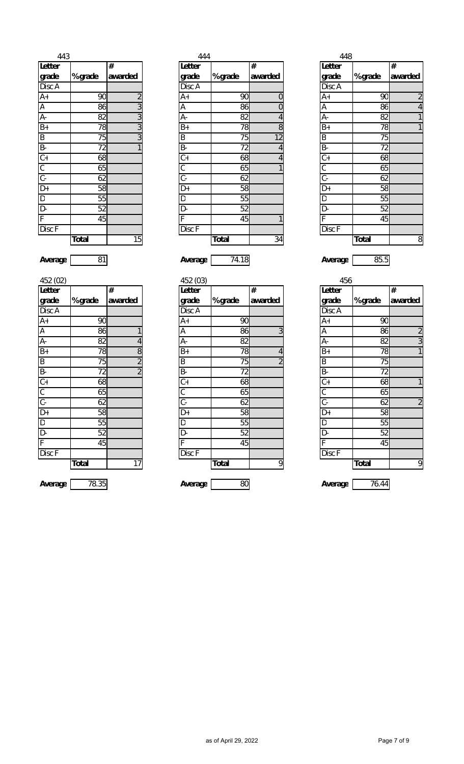| 443               |              |                                           |
|-------------------|--------------|-------------------------------------------|
| Letter            |              | #                                         |
| grade             | % grade      | awarded                                   |
| Disc A            |              |                                           |
| $A+$              | 90           |                                           |
| Ā                 | 86           |                                           |
| A-                | 82           |                                           |
| $B+$              | 78           | $\frac{2}{3}$ $\frac{3}{3}$ $\frac{1}{3}$ |
|                   | 75           |                                           |
|                   | 72           | 1                                         |
| <u> 히 이 히 히 이</u> | 68           |                                           |
|                   | 65           |                                           |
|                   | 62           |                                           |
|                   | 58           |                                           |
| $\frac{D}{D}$     | 55           |                                           |
|                   | 52           |                                           |
|                   | 45           |                                           |
| Disc <sub>F</sub> |              |                                           |
|                   | <b>Total</b> | 15                                        |

| 443                              |              |                          |               | 444          |         | 448            |              |                |
|----------------------------------|--------------|--------------------------|---------------|--------------|---------|----------------|--------------|----------------|
| Letter                           |              | #                        | <b>Letter</b> |              | #       | <b>Letter</b>  |              | #              |
| grade                            | % grade      | awarded                  | grade         | % grade      | awarded | grade          | % grade      | awarded        |
| Disc A                           |              |                          | Disc A        |              |         | Disc A         |              |                |
| A+                               | 90           | $\overline{\phantom{a}}$ | $A+$          | 90           | 0       | $A+$           | 90           | $\overline{a}$ |
| A                                | 86           | 3                        | Α             | 86           | 0       | Α              | 86           | 4              |
|                                  | 82           | 3                        | А-            | 82           | 4       | A-             | 82           |                |
| $\frac{A}{B+}$<br>$\frac{B}{B-}$ | 78           | 3                        | $B+$          | 78           | 8       | $B+$           | 78           |                |
|                                  | 75           | 3                        | B             | 75           | 12      | B              | 75           |                |
|                                  | 72           |                          | <b>B-</b>     | 72           | 4       | -a             | 72           |                |
| $\overline{\mathsf{C+}}$         | 68           |                          | $C +$         | 68           |         | $C +$          | 68           |                |
| $\overline{\mathsf{C}}$          | 65           |                          | С             | 65           |         | C              | 65           |                |
| $\overline{C}$ -                 | 62           |                          | $C -$         | 62           |         | $\mathsf{C}$ - | 62           |                |
| D+                               | 58           |                          | D+            | 58           |         | D+             | 58           |                |
| $\overline{\mathsf{D}}$          | 55           |                          | D             | 55           |         | $\mathsf D$    | 55           |                |
| $\overline{D}$ -                 | 52           |                          | D-            | 52           |         | Đ.             | 52           |                |
| F                                | 45           |                          |               | 45           |         | F              | 45           |                |
| $\overline{\mathrm{Disc}}$ F     |              |                          | Disc F        |              |         | Disc F         |              |                |
|                                  | <b>Total</b> | 15                       |               | <b>Total</b> | 34      |                | <b>Total</b> | 8              |

| #              |                |              |                | 448                                          |              |                |
|----------------|----------------|--------------|----------------|----------------------------------------------|--------------|----------------|
|                | Letter         |              | $\#$           | Letter                                       |              | #              |
| awarded        | grade          | % grade      | awarded        | grade                                        | % grade      | awarded        |
|                | Disc A         |              |                | $\overline{Disc}$ A                          |              |                |
| $\overline{2}$ | $A+$           |              | 0              | $A+$                                         | 90           | $\sqrt{2}$     |
| 3              | Α              | 86           | 0              | А                                            | 86           | $\overline{4}$ |
| 3              | А-             | 82           | $\overline{4}$ | A-                                           | 82           | 1              |
| 3              | $B+$           |              | 8              | $B+$                                         | 78           | 1              |
| 3              | B              |              | 12             | B                                            | 75           |                |
|                | $B -$          | 72           | $\overline{4}$ | B-                                           | 72           |                |
|                | $C +$          |              | $\overline{4}$ | $\overline{C+}$                              | 68           |                |
|                | C              |              |                | $\overline{C}$                               | 65           |                |
|                | $\overline{C}$ | 62           |                | $\overline{C}$                               | 62           |                |
|                | D+             |              |                | D+                                           | 58           |                |
|                | D              |              |                | D                                            | 55           |                |
|                | D-             | 52           |                | D-                                           | 52           |                |
|                | F              |              |                | F                                            | 45           |                |
|                | Disc F         |              |                | Disc F                                       |              |                |
| 15             |                | <b>Total</b> |                |                                              | <b>Total</b> | 8              |
|                |                |              |                | 90<br>78<br>75<br>68<br>65<br>58<br>55<br>45 | 34           |                |

| Letter                                    |              | #              |
|-------------------------------------------|--------------|----------------|
| grade                                     | % grade      | awarded        |
| Disc A                                    |              |                |
| $A+$                                      | 90           |                |
| $\overline{A}$                            | 86           | 1              |
| A-                                        | 82           | $\overline{4}$ |
| $\overline{B+}$                           | 78           |                |
| $\overline{B}$                            | 75           | $\frac{8}{2}$  |
|                                           | 72           |                |
| $\frac{1}{C}$ $\frac{1}{C}$ $\frac{1}{C}$ | 68           |                |
|                                           | 65           |                |
|                                           | 62           |                |
| $\overline{D+}$                           | 58           |                |
| $\overline{D}$                            | 55           |                |
| D-                                        | 52           |                |
| F                                         | 45           |                |
| Disc F                                    |              |                |
|                                           | <b>Total</b> | 17             |

| Average |  | Average |  | Average | ᅂ<br>UJ.J |
|---------|--|---------|--|---------|-----------|
|---------|--|---------|--|---------|-----------|

| 452 (02)       |              |                | 452 (03)       |              |         | 456            |              |                |
|----------------|--------------|----------------|----------------|--------------|---------|----------------|--------------|----------------|
| Letter         |              | #              | Letter         |              | #       | Letter         |              | $\#$           |
| grade          | % grade      | awarded        | grade          | % grade      | awarded | grade          | % grade      | awarded        |
| Disc A         |              |                | Disc A         |              |         | Disc A         |              |                |
| $A+$           | 90           |                | $A+$           | 90           |         | $A+$           | 90           |                |
| A              | 86           |                | Α              | 86           | 3       | A              | 86           | $\overline{a}$ |
| A-             | 82           | 4              | А-             | 82           |         | A-             | 82           | $\overline{3}$ |
| $B+$           | 78           | 8              | $B+$           | 78           | 4       | $B+$           | 78           | 1              |
| $\overline{B}$ | 75           | $\overline{2}$ | B              | 75           |         | B              | 75           |                |
| B-             | 72           | $\overline{2}$ | B-             | 72           |         | B-             | 72           |                |
| $C +$          | 68           |                | $C +$          | 68           |         | $C +$          | 68           | 1              |
| $\mathsf C$    | 65           |                | С              | 65           |         | С              | 65           |                |
| $\overline{C}$ | 62           |                | $\overline{C}$ | 62           |         | $\overline{C}$ | 62           | $\overline{2}$ |
| $D+$           | 58           |                | D+             | 58           |         | D+             | 58           |                |
| O              | 55           |                | D              | 55           |         | D              | 55           |                |
| $\overline{D}$ | 52           |                | D-             | 52           |         | D-             | 52           |                |
| F              | 45           |                | F              | 45           |         | F              | 45           |                |
| Disc F         |              |                | Disc F         |              |         | Disc F         |              |                |
|                | <b>Total</b> | 17             |                | <b>Total</b> | 9       |                | <b>Total</b> | 9              |
|                |              |                |                |              |         |                |              |                |
| Average        | 78.35        |                | Average        | 80           |         | Average        | 76.44        |                |

| 456                                                                                       |                 |                |
|-------------------------------------------------------------------------------------------|-----------------|----------------|
| <b>Letter</b>                                                                             |                 | #              |
| grade                                                                                     | % grade         | awarded        |
| Disc A                                                                                    |                 |                |
| $A+$                                                                                      | 90              |                |
|                                                                                           | 86              |                |
| A-                                                                                        | 82              | $\frac{2}{3}$  |
| $\overline{B+}$                                                                           | 78              |                |
| $\ln\left \frac{1}{\Delta}\right \frac{1}{\Delta}\right \ln\left \frac{1}{\Delta}\right $ | 75              |                |
|                                                                                           | 72              |                |
|                                                                                           | 68              | 1              |
|                                                                                           | 65              |                |
|                                                                                           | 62              | $\overline{2}$ |
|                                                                                           | 58              |                |
| $\frac{D}{D}$                                                                             | $\overline{55}$ |                |
|                                                                                           | 52              |                |
| $\overline{F}$                                                                            | 45              |                |
| Disc <sub>F</sub>                                                                         |                 |                |
|                                                                                           | <b>Total</b>    | 9              |
|                                                                                           |                 |                |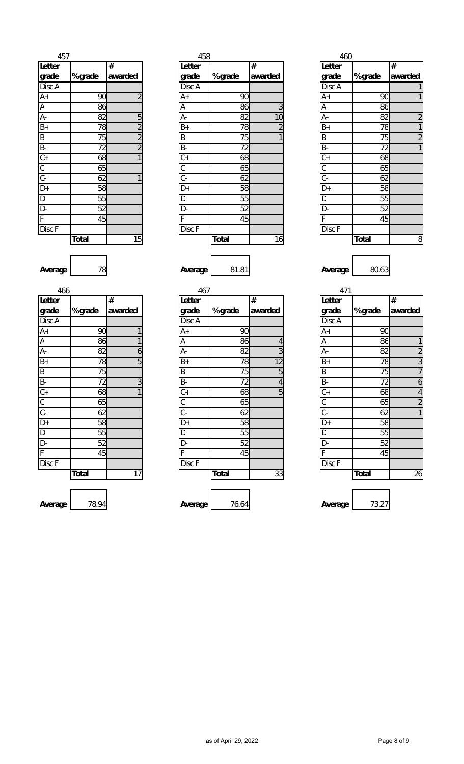| 457            |                 |                             |
|----------------|-----------------|-----------------------------|
| Letter         |                 | #                           |
| grade          | % grade         | awarded                     |
| Disc A         |                 |                             |
|                | 90              | $\overline{c}$              |
| $\frac{A+}{A}$ | 86              |                             |
|                | 82              |                             |
|                | 78              | $\frac{5}{2}$ $\frac{2}{2}$ |
|                | 75              |                             |
|                | 72              |                             |
|                | $6\overline{8}$ | $\overline{1}$              |
|                | 65              |                             |
|                | 62              | 1                           |
|                | 58              |                             |
|                | 55              |                             |
| ᆈᅀᆈᅀᆡᇰᇰᆝᇰᆝᇰᆈᅀᆈ | 52              |                             |
|                | 45              |                             |
| Disc F         |                 |                             |
|                | Total           | 15                          |

| 457                          |              |         | 458                  |              |         | 460            |              |                |
|------------------------------|--------------|---------|----------------------|--------------|---------|----------------|--------------|----------------|
| Letter                       |              | #       | Letter               |              | #       | Letter         |              | $\#$           |
| grade                        | % grade      | awarded | grade                | % grade      | awarded | grade          | % grade      | awarded        |
| Disc A                       |              |         | Disc A               |              |         | Disc A         |              |                |
| A+                           | 90           |         | $A+$                 | 90           |         | $A+$           | 90           |                |
| Ā                            | 86           |         | Α                    | 86           | 3       | $\overline{A}$ | 86           |                |
| $A -$                        | 82           | 5       | А-                   | 82           | 10      | А-             | 82           | $\overline{2}$ |
| B+                           | 78           |         | $B+$                 | 78           |         | $B+$           | 78           |                |
| $\frac{B}{B}$                | 75           | ∩       | $\sf B$              | 75           |         | B              | 75           | $\overline{2}$ |
|                              | 72           |         | <b>B-</b>            | 72           |         | B-             | 72           |                |
| $\overline{\mathsf{C}}$ +    | 68           |         | $\mathsf{C}\text{+}$ | 68           |         | $C+$           | 68           |                |
| $\overline{\mathcal{C}}$     | 65           |         | С                    | 65           |         | $\mathsf C$    | 65           |                |
| $\overline{C}$ -             | 62           |         | $\mathsf{C}$ -       | 62           |         | $\overline{C}$ | 62           |                |
| $\overline{D+}$              | 58           |         | D+                   | 58           |         | $D+$           | 58           |                |
| D<br>D-                      | 55           |         | D                    | 55           |         | D              | 55           |                |
|                              | 52           |         | D-                   | 52           |         | D-             | 52           |                |
| F                            | 45           |         |                      | 45           |         |                | 45           |                |
| $\overline{\mathrm{Disc}}$ F |              |         | Disc F               |              |         | Disc F         |              |                |
|                              | <b>Total</b> | 15      |                      | <b>Total</b> | 16      |                | <b>Total</b> | 8              |

|              |                |                | 458          |                | 460             |              |                |
|--------------|----------------|----------------|--------------|----------------|-----------------|--------------|----------------|
|              | #              | Letter         |              | $\#$           | <b>Letter</b>   |              | #              |
| % grade      | awarded        | grade          | % grade      | awarded        | grade           | % grade      | awarded        |
|              |                | Disc A         |              |                | <b>Disc A</b>   |              | 1              |
| 90           | $\overline{2}$ | $A+$           | 90           |                | $A+$            | 90           | 1              |
| 86           |                | Α              | 86           | 3              | A               | 86           |                |
| 82           | 5              | А-             | 82           | 10             | А-              | 82           | $\overline{c}$ |
| 78           | $\overline{c}$ | B+             | 78           | $\overline{c}$ | $B+$            | 78           | $\mathbf{1}$   |
| 75           | $\overline{2}$ | B              | 75           |                | $\overline{B}$  | 75           | $\overline{2}$ |
| 72           | $\overline{2}$ | <b>B-</b>      | 72           |                | $B -$           | 72           | $\mathbf{1}$   |
| 68           |                | $C +$          | 68           |                | $\overline{C+}$ | 68           |                |
| 65           |                | C              | 65           |                | $\overline{C}$  | 65           |                |
| 62           |                | $\mathsf{C}$ - | 62           |                | $C -$           | 62           |                |
| 58           |                | D+             | 58           |                | D+              | 58           |                |
| 55           |                | D              | 55           |                | D               | 55           |                |
| 52           |                | D-             | 52           |                | D-              | 52           |                |
| 45           |                | F              | 45           |                | F               | 45           |                |
|              |                | Disc F         |              |                | Disc F          |              |                |
| <b>Total</b> | 15             |                | <b>Total</b> | 16             |                 | <b>Total</b> | 8              |
|              |                |                |              |                |                 |              |                |

| 471                                                                   |              |                |
|-----------------------------------------------------------------------|--------------|----------------|
| <b>Letter</b>                                                         |              | #              |
| grade                                                                 | % grade      | awarded        |
| Disc A                                                                |              |                |
| $A+$                                                                  | 90           |                |
| Ā                                                                     | 86           | 1              |
| $\overline{A}$                                                        | 82           | $\frac{2}{3}$  |
| $B+$                                                                  | 78           |                |
| $\frac{1}{2}$ $\frac{1}{2}$ $\frac{1}{2}$ $\frac{1}{2}$ $\frac{1}{2}$ | 75           |                |
|                                                                       | 72           | $\frac{6}{4}$  |
|                                                                       | 68           |                |
|                                                                       | 65           | $\overline{2}$ |
|                                                                       | 62           | $\overline{1}$ |
|                                                                       | 58           |                |
|                                                                       | 55           |                |
| $\frac{D}{T}$ $\frac{D}{T}$                                           | 52           |                |
|                                                                       | 45           |                |
| Disc <sub>F</sub>                                                     |              |                |
|                                                                       | <b>Total</b> | 26             |
|                                                                       |              |                |
|                                                                       |              |                |

 $\sqrt{2}$ **Average** 78 **Average** 81.81 **Average** 80.63

| 466                       |              |         | 467                  |              |         | 471                  |              |                |
|---------------------------|--------------|---------|----------------------|--------------|---------|----------------------|--------------|----------------|
| Letter                    |              | $\#$    | Letter               |              | #       | Letter               |              | #              |
| grade                     | % grade      | awarded | grade                | % grade      | awarded | grade                | % grade      | awarded        |
| Disc A                    |              |         | Disc A               |              |         | Disc A               |              |                |
| $A+$                      | 90           |         | $A+$                 | 90           |         | $A+$                 | 90           |                |
| $\overline{A}$            | 86           |         | A                    | 86           |         | A                    | 86           | 1              |
| $\overline{A}$ -          | 82           | 6       | А-                   | 82           | 3       | A-                   | 82           | $\overline{2}$ |
| $B+$                      | 78           | 5       | $B+$                 | 78           | 12      | $B+$                 | 78           | 3              |
| $\overline{B}$            | 75           |         | $\sf B$              | 75           | 5       | $\sf B$              | 75           | $\overline{7}$ |
| B-                        | 72           | 3       | B-                   | 72           | 4       | B-                   | 72           | 6              |
| $\overline{C+}$           | 68           |         | $\mathsf{C}\text{+}$ | 68           | 5       | $\mathsf{C}\text{+}$ | 68           | $\overline{4}$ |
| $\overline{\mathfrak{c}}$ | 65           |         | C                    | 65           |         | C                    | 65           | $\overline{2}$ |
| $\overline{C}$ -          | 62           |         | $\mathsf{C}$ -       | 62           |         | $C -$                | 62           | 1              |
| $\overline{D+}$           | 58           |         | D+                   | 58           |         | D+                   | 58           |                |
| $\overline{D}$            | 55           |         | D                    | 55           |         | D                    | 55           |                |
| D-                        | 52           |         | D-                   | 52           |         | D-                   | 52           |                |
| F                         | 45           |         |                      | 45           |         | Е                    | 45           |                |
| Disc F                    |              |         | Disc F               |              |         | Disc F               |              |                |
|                           | <b>Total</b> | 17      |                      | <b>Total</b> | 33      |                      | <b>Total</b> | 26             |
|                           |              |         |                      |              |         |                      |              |                |
| Augrano                   | <b>70 04</b> |         | Augrano              | 76.61        |         | Augrano              | 72.27        |                |

| 466                                  |              |         | 467            |              |         | 471             |              |                          |
|--------------------------------------|--------------|---------|----------------|--------------|---------|-----------------|--------------|--------------------------|
| Letter                               |              | #       | Letter         |              | $\#$    | <b>Letter</b>   |              | #                        |
| grade                                | % grade      | awarded | grade          | % grade      | awarded | grade           | % grade      | awarded                  |
| Disc A                               |              |         | Disc A         |              |         | Disc A          |              |                          |
| $A+$                                 | 90           |         | $A+$           | 90           |         | $A+$            | 90           |                          |
|                                      | 86           |         | $\overline{A}$ | 86           | 4       | A               | 86           | 1                        |
| $\frac{A}{A}$                        | 82           | 6       | A-             | 82           | 3       | А-              | 82           | $\overline{2}$           |
| $B+$                                 | 78           | 5       | $B+$           | 78           | 12      | $B+$            | 78           | 3                        |
|                                      | 75           |         | B              | 75           | 5       | B               | 75           | $\overline{1}$           |
|                                      | 72           | 3       | B-             | 72           | 4       | <b>B-</b>       | 72           | 6                        |
| B<br>C<br>C<br>C<br>C<br>D<br>D<br>+ | 68           |         | $C +$          | 68           | 5       | $\overline{C+}$ | 68           | $\overline{\mathcal{A}}$ |
|                                      | 65           |         | C              | 65           |         | C               | 65           | $\overline{2}$           |
|                                      | 62           |         | $\mathsf{C}$ - | 62           |         | $\overline{C}$  | 62           | 1                        |
|                                      | 58           |         | D+             | 58           |         | $D+$            | 58           |                          |
| $\overline{\mathsf{D}}$              | 55           |         | D              | 55           |         | D               | 55           |                          |
| D-                                   | 52           |         | D-             | 52           |         | D-              | 52           |                          |
| F                                    | 45           |         | F              | 45           |         | E               | 45           |                          |
| Disc F                               |              |         | Disc F         |              |         | Disc F          |              |                          |
|                                      | <b>Total</b> | 17      |                | <b>Total</b> | 33      |                 | <b>Total</b> | 26                       |
|                                      |              |         |                |              |         |                 |              |                          |
|                                      |              |         |                |              |         |                 |              |                          |
| Average                              | 78.94        |         | Average        | 76.64        |         | Average         | 73.27        |                          |

| Average |
|---------|
|---------|